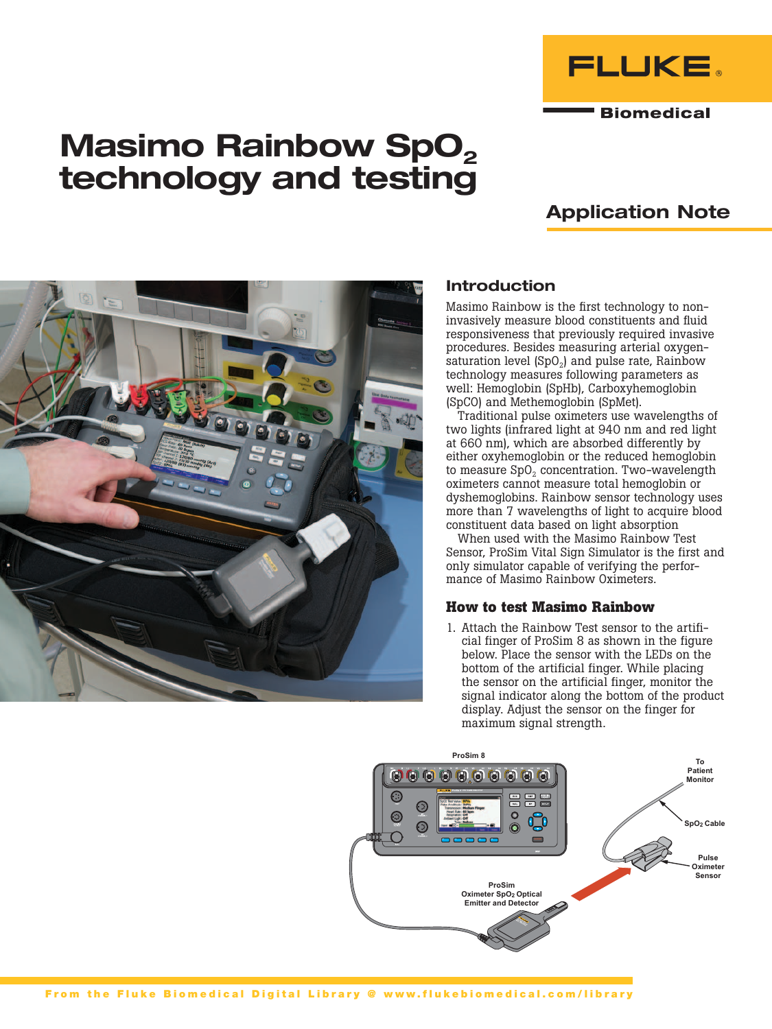

**Biomedical** 

# Masimo Rainbow SpO<sub>2</sub> technology and testing

# Application Note



## Introduction

Masimo Rainbow is the first technology to noninvasively measure blood constituents and fluid responsiveness that previously required invasive procedures. Besides measuring arterial oxygensaturation level  $(SpO<sub>2</sub>)$  and pulse rate, Rainbow technology measures following parameters as well: Hemoglobin (SpHb), Carboxyhemoglobin (SpCO) and Methemoglobin (SpMet).

Traditional pulse oximeters use wavelengths of two lights (infrared light at 940 nm and red light at 660 nm), which are absorbed differently by either oxyhemoglobin or the reduced hemoglobin to measure  $SpO<sub>2</sub>$  concentration. Two-wavelength oximeters cannot measure total hemoglobin or dyshemoglobins. Rainbow sensor technology uses more than 7 wavelengths of light to acquire blood constituent data based on light absorption

When used with the Masimo Rainbow Test Sensor, ProSim Vital Sign Simulator is the first and only simulator capable of verifying the performance of Masimo Rainbow Oximeters.

### **How to test Masimo Rainbow**

1. Attach the Rainbow Test sensor to the artificial finger of ProSim 8 as shown in the figure below. Place the sensor with the LEDs on the bottom of the artificial finger. While placing the sensor on the artificial finger, monitor the signal indicator along the bottom of the product display. Adjust the sensor on the finger for maximum signal strength.